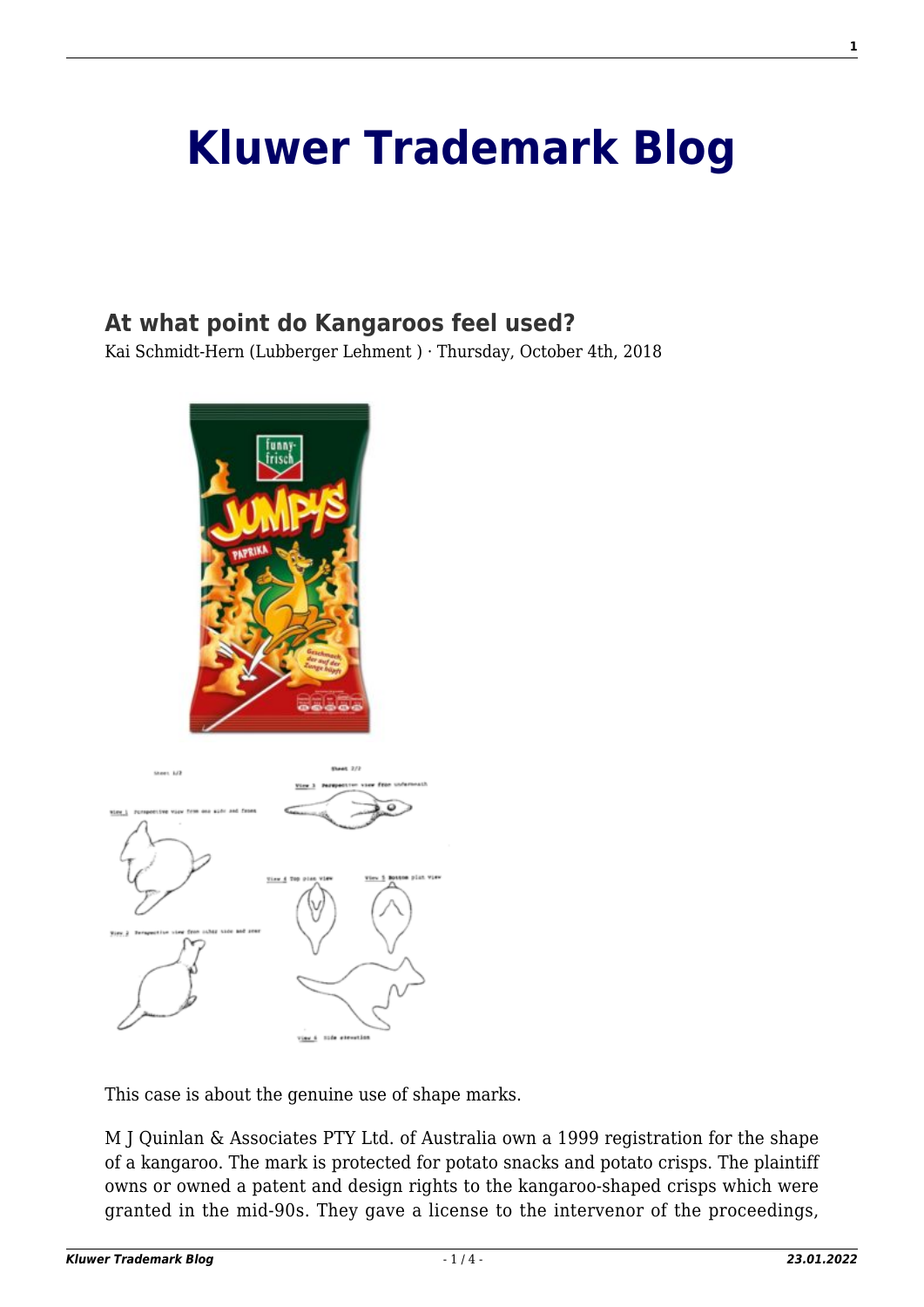## **[Kluwer Trademark Blog](http://trademarkblog.kluweriplaw.com/)**

## **[At what point do Kangaroos feel used?](http://trademarkblog.kluweriplaw.com/2018/10/04/point-kangaroos-feel-used/)**

Kai Schmidt-Hern (Lubberger Lehment ) · Thursday, October 4th, 2018



This case is about the genuine use of shape marks.

M J Quinlan & Associates PTY Ltd. of Australia own a 1999 registration for the shape of a kangaroo. The mark is protected for potato snacks and potato crisps. The plaintiff owns or owned a patent and design rights to the kangaroo-shaped crisps which were granted in the mid-90s. They gave a license to the intervenor of the proceedings,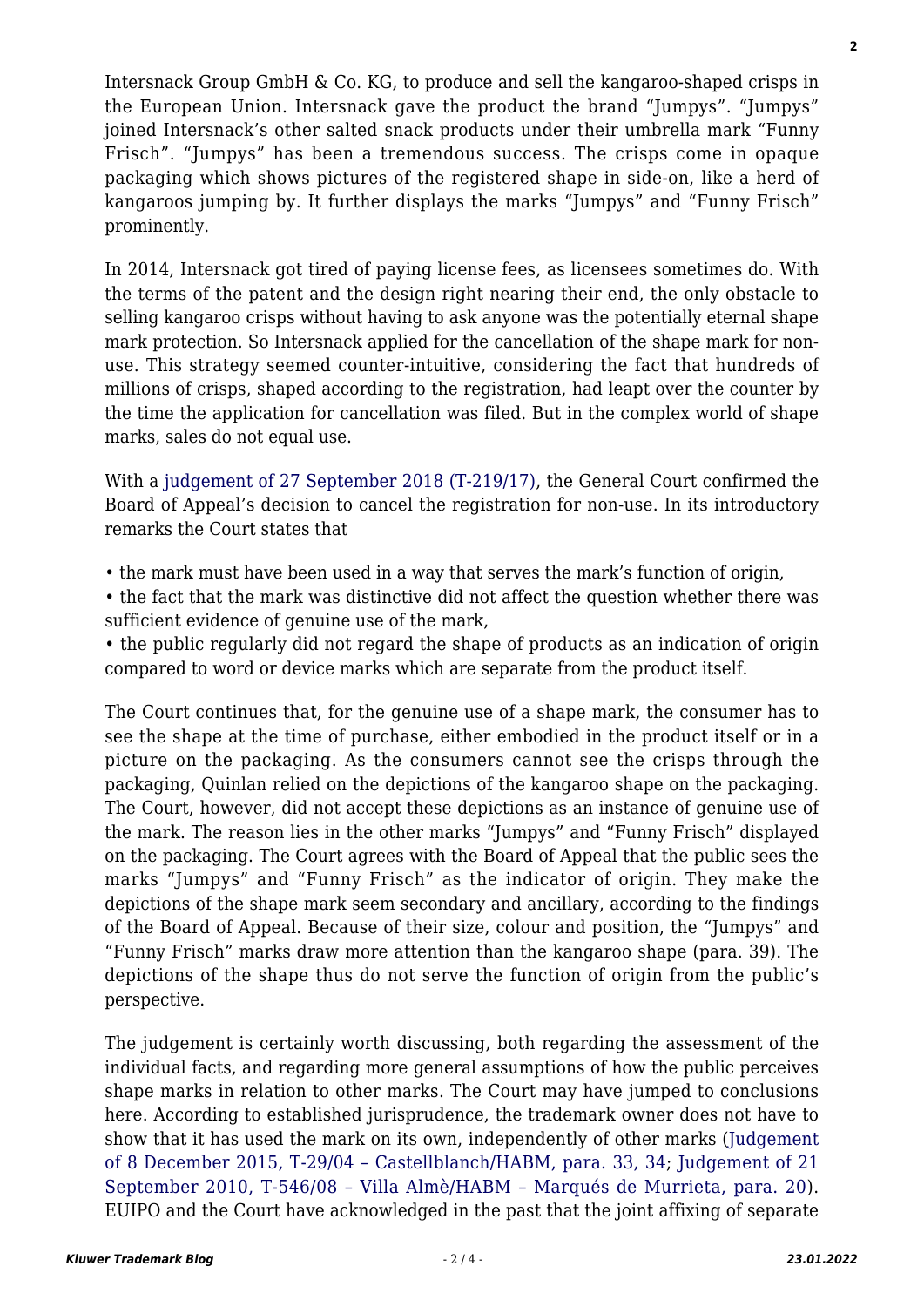Intersnack Group GmbH & Co. KG, to produce and sell the kangaroo-shaped crisps in the European Union. Intersnack gave the product the brand "Jumpys". "Jumpys" joined Intersnack's other salted snack products under their umbrella mark "Funny Frisch". "Jumpys" has been a tremendous success. The crisps come in opaque packaging which shows pictures of the registered shape in side-on, like a herd of kangaroos jumping by. It further displays the marks "Jumpys" and "Funny Frisch" prominently.

In 2014, Intersnack got tired of paying license fees, as licensees sometimes do. With the terms of the patent and the design right nearing their end, the only obstacle to selling kangaroo crisps without having to ask anyone was the potentially eternal shape mark protection. So Intersnack applied for the cancellation of the shape mark for nonuse. This strategy seemed counter-intuitive, considering the fact that hundreds of millions of crisps, shaped according to the registration, had leapt over the counter by the time the application for cancellation was filed. But in the complex world of shape marks, sales do not equal use.

With a [judgement of 27 September 2018 \(T-219/17\)](http://curia.europa.eu/juris/document/document.jsf?text=&docid=206173&pageIndex=0&doclang=DE&mode=lst&dir=&occ=first&part=1&cid=736826), the General Court confirmed the Board of Appeal's decision to cancel the registration for non-use. In its introductory remarks the Court states that

- the mark must have been used in a way that serves the mark's function of origin,
- the fact that the mark was distinctive did not affect the question whether there was sufficient evidence of genuine use of the mark,

• the public regularly did not regard the shape of products as an indication of origin compared to word or device marks which are separate from the product itself.

The Court continues that, for the genuine use of a shape mark, the consumer has to see the shape at the time of purchase, either embodied in the product itself or in a picture on the packaging. As the consumers cannot see the crisps through the packaging, Quinlan relied on the depictions of the kangaroo shape on the packaging. The Court, however, did not accept these depictions as an instance of genuine use of the mark. The reason lies in the other marks "Jumpys" and "Funny Frisch" displayed on the packaging. The Court agrees with the Board of Appeal that the public sees the marks "Jumpys" and "Funny Frisch" as the indicator of origin. They make the depictions of the shape mark seem secondary and ancillary, according to the findings of the Board of Appeal. Because of their size, colour and position, the "Jumpys" and "Funny Frisch" marks draw more attention than the kangaroo shape (para. 39). The depictions of the shape thus do not serve the function of origin from the public's perspective.

The judgement is certainly worth discussing, both regarding the assessment of the individual facts, and regarding more general assumptions of how the public perceives shape marks in relation to other marks. The Court may have jumped to conclusions here. According to established jurisprudence, the trademark owner does not have to show that it has used the mark on its own, independently of other marks ([Judgement](http://curia.europa.eu/juris/document/document.jsf;jsessionid=4F4614076CDE89F1CD153C4A70204CE0?text=&docid=56679&pageIndex=0&doclang=EN&mode=lst&dir=&occ=first&part=1&cid=736213) [of 8 December 2015, T-29/04 – Castellblanch/HABM, para. 33, 34](http://curia.europa.eu/juris/document/document.jsf;jsessionid=4F4614076CDE89F1CD153C4A70204CE0?text=&docid=56679&pageIndex=0&doclang=EN&mode=lst&dir=&occ=first&part=1&cid=736213); [Judgement of 21](http://curia.europa.eu/juris/document/document.jsf?text=&docid=83532&pageIndex=0&doclang=FR&mode=lst&dir=&occ=first&part=1&cid=736347) [September 2010, T‑546/08 – Villa Almè/HABM – Marqués de Murrieta, para. 20](http://curia.europa.eu/juris/document/document.jsf?text=&docid=83532&pageIndex=0&doclang=FR&mode=lst&dir=&occ=first&part=1&cid=736347)). EUIPO and the Court have acknowledged in the past that the joint affixing of separate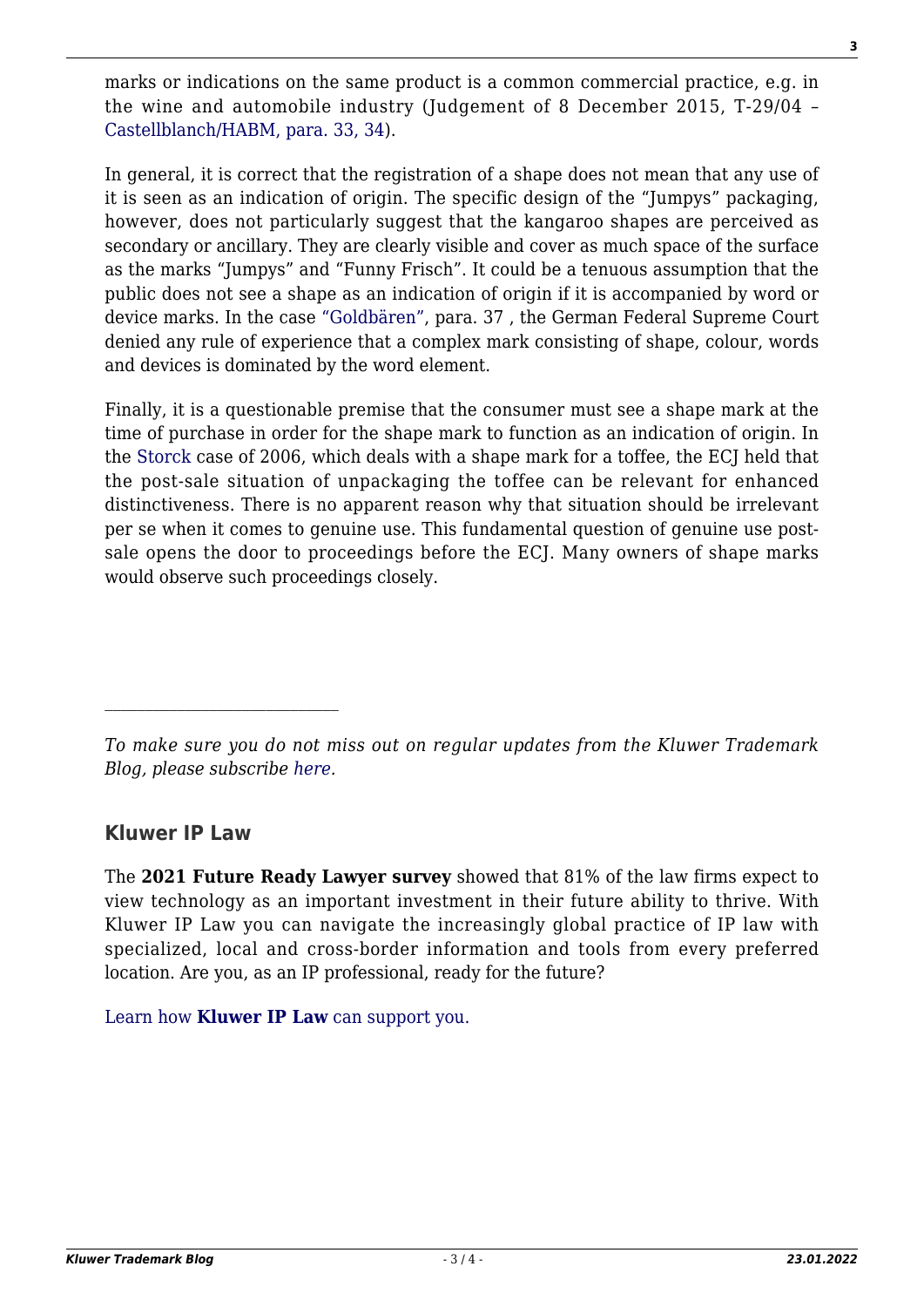marks or indications on the same product is a common commercial practice, e.g. in the wine and automobile industry (Judgement of 8 December 2015, T-29/04 – [Castellblanch/HABM, para. 33, 34\)](http://curia.europa.eu/juris/document/document.jsf;jsessionid=4F4614076CDE89F1CD153C4A70204CE0?text=&docid=56679&pageIndex=0&doclang=EN&mode=lst&dir=&occ=first&part=1&cid=736213).

In general, it is correct that the registration of a shape does not mean that any use of it is seen as an indication of origin. The specific design of the "Jumpys" packaging, however, does not particularly suggest that the kangaroo shapes are perceived as secondary or ancillary. They are clearly visible and cover as much space of the surface as the marks "Jumpys" and "Funny Frisch". It could be a tenuous assumption that the public does not see a shape as an indication of origin if it is accompanied by word or device marks. In the case ["Goldbären",](http://juris.bundesgerichtshof.de/cgi-bin/rechtsprechung/document.py?Gericht=bgh&Art=en&sid=b0a9f06c6da279b2e13ae5334037cb24&nr=72568&pos=0&anz=1) para. 37 , the German Federal Supreme Court denied any rule of experience that a complex mark consisting of shape, colour, words and devices is dominated by the word element.

Finally, it is a questionable premise that the consumer must see a shape mark at the time of purchase in order for the shape mark to function as an indication of origin. In the [Storck](http://curia.europa.eu/juris/document/document.jsf?text=&docid=55759&pageIndex=0&doclang=EN&mode=lst&dir=&occ=first&part=1&cid=736826) case of 2006, which deals with a shape mark for a toffee, the ECJ held that the post-sale situation of unpackaging the toffee can be relevant for enhanced distinctiveness. There is no apparent reason why that situation should be irrelevant per se when it comes to genuine use. This fundamental question of genuine use postsale opens the door to proceedings before the ECJ. Many owners of shape marks would observe such proceedings closely.

## **Kluwer IP Law**

The **2021 Future Ready Lawyer survey** showed that 81% of the law firms expect to view technology as an important investment in their future ability to thrive. With Kluwer IP Law you can navigate the increasingly global practice of IP law with specialized, local and cross-border information and tools from every preferred location. Are you, as an IP professional, ready for the future?

[Learn how](https://www.wolterskluwer.com/en/solutions/kluweriplaw?utm_source=trademarkblog&utm_medium=articleCTA&utm_campaign=article-banner) **[Kluwer IP Law](https://www.wolterskluwer.com/en/solutions/kluweriplaw?utm_source=trademarkblog&utm_medium=articleCTA&utm_campaign=article-banner)** [can support you.](https://www.wolterskluwer.com/en/solutions/kluweriplaw?utm_source=trademarkblog&utm_medium=articleCTA&utm_campaign=article-banner)

*To make sure you do not miss out on regular updates from the Kluwer Trademark Blog, please subscribe [here](http://trademarkblog.kluweriplaw.com/newsletter/).*